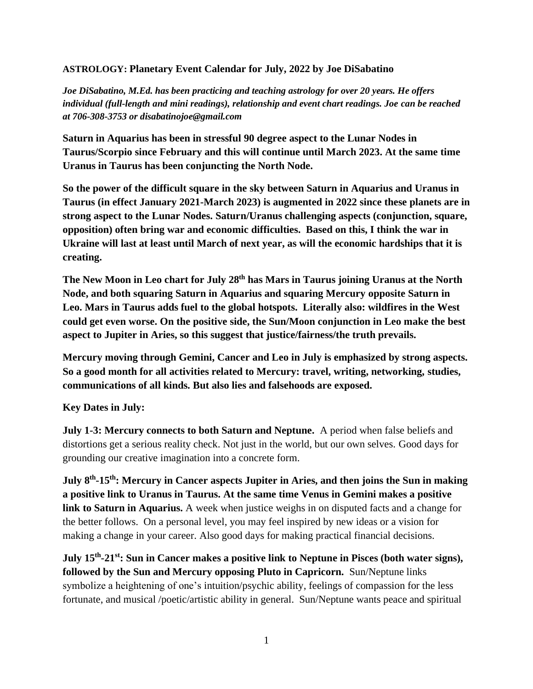## **ASTROLOGY: Planetary Event Calendar for July, 2022 by Joe DiSabatino**

*Joe DiSabatino, M.Ed. has been practicing and teaching astrology for over 20 years. He offers individual (full-length and mini readings), relationship and event chart readings. Joe can be reached at 706-308-3753 or disabatinojoe@gmail.com*

**Saturn in Aquarius has been in stressful 90 degree aspect to the Lunar Nodes in Taurus/Scorpio since February and this will continue until March 2023. At the same time Uranus in Taurus has been conjuncting the North Node.** 

**So the power of the difficult square in the sky between Saturn in Aquarius and Uranus in Taurus (in effect January 2021-March 2023) is augmented in 2022 since these planets are in strong aspect to the Lunar Nodes. Saturn/Uranus challenging aspects (conjunction, square, opposition) often bring war and economic difficulties. Based on this, I think the war in Ukraine will last at least until March of next year, as will the economic hardships that it is creating.** 

**The New Moon in Leo chart for July 28th has Mars in Taurus joining Uranus at the North Node, and both squaring Saturn in Aquarius and squaring Mercury opposite Saturn in Leo. Mars in Taurus adds fuel to the global hotspots. Literally also: wildfires in the West could get even worse. On the positive side, the Sun/Moon conjunction in Leo make the best aspect to Jupiter in Aries, so this suggest that justice/fairness/the truth prevails.**

**Mercury moving through Gemini, Cancer and Leo in July is emphasized by strong aspects. So a good month for all activities related to Mercury: travel, writing, networking, studies, communications of all kinds. But also lies and falsehoods are exposed.** 

## **Key Dates in July:**

**July 1-3: Mercury connects to both Saturn and Neptune.** A period when false beliefs and distortions get a serious reality check. Not just in the world, but our own selves. Good days for grounding our creative imagination into a concrete form.

**July 8th -15th: Mercury in Cancer aspects Jupiter in Aries, and then joins the Sun in making a positive link to Uranus in Taurus. At the same time Venus in Gemini makes a positive link to Saturn in Aquarius.** A week when justice weighs in on disputed facts and a change for the better follows. On a personal level, you may feel inspired by new ideas or a vision for making a change in your career. Also good days for making practical financial decisions.

**July 15th -21st: Sun in Cancer makes a positive link to Neptune in Pisces (both water signs), followed by the Sun and Mercury opposing Pluto in Capricorn.** Sun/Neptune links symbolize a heightening of one's intuition/psychic ability, feelings of compassion for the less fortunate, and musical /poetic/artistic ability in general. Sun/Neptune wants peace and spiritual